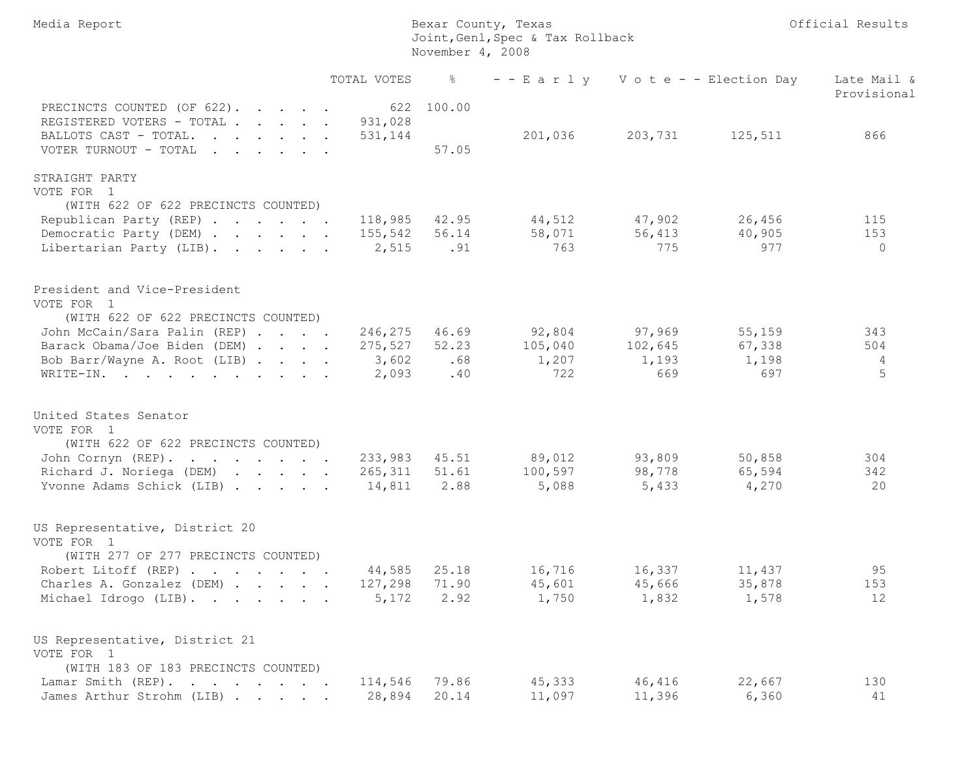| Media Report                                                                                                                                                                                                         |                | Bexar County, Texas<br>Joint, Genl, Spec & Tax Rollback<br>November 4, 2008 |                                                    | Official Results |                                  |                                   |
|----------------------------------------------------------------------------------------------------------------------------------------------------------------------------------------------------------------------|----------------|-----------------------------------------------------------------------------|----------------------------------------------------|------------------|----------------------------------|-----------------------------------|
|                                                                                                                                                                                                                      | TOTAL VOTES    | - 왕                                                                         |                                                    |                  | --Early Vote--Election Day       | Late Mail &<br>Provisional        |
| PRECINCTS COUNTED (OF 622).<br>REGISTERED VOTERS - TOTAL 931,028                                                                                                                                                     |                | 622 100.00                                                                  |                                                    |                  |                                  |                                   |
| BALLOTS CAST - TOTAL.<br>VOTER TURNOUT - TOTAL                                                                                                                                                                       | 531,144        | 57.05                                                                       | 201,036                                            |                  | 203,731 125,511                  | 866                               |
| STRAIGHT PARTY                                                                                                                                                                                                       |                |                                                                             |                                                    |                  |                                  |                                   |
| VOTE FOR 1                                                                                                                                                                                                           |                |                                                                             |                                                    |                  |                                  |                                   |
| (WITH 622 OF 622 PRECINCTS COUNTED)                                                                                                                                                                                  |                | 42.95                                                                       | 44,512                                             |                  | 26,456                           | 115                               |
| Republican Party (REP)<br>Democratic Party (DEM) 155,542                                                                                                                                                             | 118,985        | 56.14                                                                       | 58,071                                             | 47,902<br>56,413 | 40,905                           | 153                               |
| Libertarian Party (LIB).                                                                                                                                                                                             | 2,515 .91      |                                                                             | 763                                                | 775              | 977                              | $\overline{0}$                    |
| President and Vice-President<br>VOTE FOR 1<br>(WITH 622 OF 622 PRECINCTS COUNTED)<br>John McCain/Sara Palin (REP) 246,275<br>Barack Obama/Joe Biden (DEM) 275,527 52.23<br>Bob Barr/Wayne A. Root (LIB)<br>WRITE-IN. | 3,602<br>2,093 | 46.69<br>.68<br>.40                                                         | $92,804$ 97,969<br>105,040 102,645<br>1,207<br>722 | 1,193<br>669     | 55,159<br>67,338<br>1,198<br>697 | 343<br>504<br>$\overline{4}$<br>5 |
| United States Senator<br>VOTE FOR 1<br>(WITH 622 OF 622 PRECINCTS COUNTED)                                                                                                                                           |                |                                                                             |                                                    |                  |                                  |                                   |
| John Cornyn (REP).                                                                                                                                                                                                   | 233,983        | 45.51                                                                       | 89,012 93,809                                      |                  | 50,858                           | 304                               |
| Richard J. Noriega (DEM) 265,311                                                                                                                                                                                     |                | 51.61                                                                       | 100,597                                            | 98,778           | 65,594                           | 342                               |
| Yvonne Adams Schick (LIB)                                                                                                                                                                                            | 14,811         | 2.88                                                                        | 5,088                                              | 5,433            | 4,270                            | 20                                |
| US Representative, District 20<br>VOTE FOR 1<br>(WITH 277 OF 277 PRECINCTS COUNTED)                                                                                                                                  |                |                                                                             |                                                    |                  |                                  |                                   |
| Robert Litoff (REP)                                                                                                                                                                                                  | 44,585         | 25.18                                                                       | 16,716                                             | 16,337           | 11,437                           | 95                                |
| Charles A. Gonzalez (DEM)                                                                                                                                                                                            | 127,298        | 71.90                                                                       | 45,601                                             | 45,666           | 35,878                           | 153                               |
| Michael Idrogo (LIB).                                                                                                                                                                                                | 5,172          | 2.92                                                                        | 1,750                                              | 1,832            | 1,578                            | 12                                |
| US Representative, District 21<br>VOTE FOR 1<br>(WITH 183 OF 183 PRECINCTS COUNTED)                                                                                                                                  |                |                                                                             |                                                    |                  |                                  |                                   |
| Lamar Smith (REP).                                                                                                                                                                                                   | 114,546        | 79.86                                                                       | 45,333                                             | 46,416           | 22,667                           | 130                               |
| James Arthur Strohm (LIB)                                                                                                                                                                                            | 28,894         | 20.14                                                                       | 11,097                                             | 11,396           | 6,360                            | 41                                |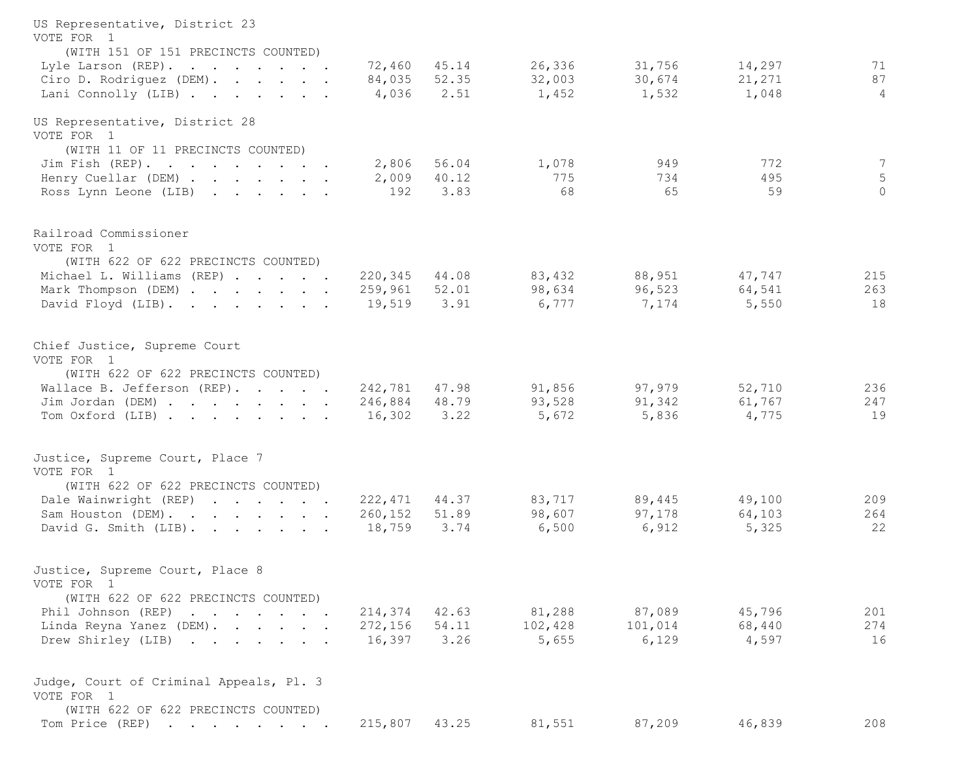| US Representative, District 23<br>VOTE FOR 1<br>(WITH 151 OF 151 PRECINCTS COUNTED) |         |       |         |         |        |             |
|-------------------------------------------------------------------------------------|---------|-------|---------|---------|--------|-------------|
| Lyle Larson (REP).                                                                  | 72,460  | 45.14 | 26,336  | 31,756  | 14,297 | 71          |
| Ciro D. Rodriguez (DEM).                                                            | 84,035  | 52.35 | 32,003  | 30,674  | 21,271 | 87          |
| Lani Connolly (LIB)                                                                 | 4,036   | 2.51  | 1,452   | 1,532   | 1,048  | 4           |
| US Representative, District 28<br>VOTE FOR 1                                        |         |       |         |         |        |             |
| (WITH 11 OF 11 PRECINCTS COUNTED)                                                   |         |       |         |         |        |             |
| Jim Fish (REP).                                                                     | 2,806   | 56.04 | 1,078   | 949     | 772    | 7           |
| Henry Cuellar (DEM)                                                                 | 2,009   | 40.12 | 775     | 734     | 495    | $\mathsf S$ |
| Ross Lynn Leone (LIB)                                                               | 192     | 3.83  | 68      | 65      | 59     | $\Omega$    |
| Railroad Commissioner<br>VOTE FOR 1                                                 |         |       |         |         |        |             |
| (WITH 622 OF 622 PRECINCTS COUNTED)<br>Michael L. Williams (REP)                    | 220,345 | 44.08 | 83,432  | 88,951  | 47,747 | 215         |
| Mark Thompson (DEM)                                                                 | 259,961 | 52.01 | 98,634  | 96,523  | 64,541 | 263         |
| David Floyd (LIB).                                                                  | 19,519  | 3.91  | 6,777   | 7,174   | 5,550  | 18          |
| Chief Justice, Supreme Court                                                        |         |       |         |         |        |             |
| VOTE FOR 1                                                                          |         |       |         |         |        |             |
| (WITH 622 OF 622 PRECINCTS COUNTED)                                                 |         |       |         |         |        |             |
| Wallace B. Jefferson (REP).                                                         | 242,781 | 47.98 | 91,856  | 97,979  | 52,710 | 236         |
| Jim Jordan (DEM)                                                                    | 246,884 | 48.79 | 93,528  | 91,342  | 61,767 | 247         |
| Tom Oxford (LIB)                                                                    | 16,302  | 3.22  | 5,672   | 5,836   | 4,775  | 19          |
| Justice, Supreme Court, Place 7<br>VOTE FOR 1                                       |         |       |         |         |        |             |
| (WITH 622 OF 622 PRECINCTS COUNTED)                                                 |         |       |         |         |        |             |
| Dale Wainwright (REP)                                                               | 222,471 | 44.37 | 83,717  | 89,445  | 49,100 | 209         |
| Sam Houston (DEM).                                                                  | 260,152 | 51.89 | 98,607  | 97,178  | 64,103 | 264         |
| David G. Smith (LIB).                                                               | 18,759  | 3.74  | 6,500   | 6,912   | 5,325  | 22          |
| Justice, Supreme Court, Place 8<br>VOTE FOR 1                                       |         |       |         |         |        |             |
| (WITH 622 OF 622 PRECINCTS COUNTED)                                                 |         |       |         |         |        |             |
| Phil Johnson (REP)                                                                  | 214,374 | 42.63 | 81,288  | 87,089  | 45,796 | 201         |
| Linda Reyna Yanez (DEM).                                                            | 272,156 | 54.11 | 102,428 | 101,014 | 68,440 | 274         |
| Drew Shirley (LIB)                                                                  | 16,397  | 3.26  | 5,655   | 6,129   | 4,597  | 16          |
| Judge, Court of Criminal Appeals, Pl. 3<br>VOTE FOR 1                               |         |       |         |         |        |             |
| (WITH 622 OF 622 PRECINCTS COUNTED)                                                 |         |       |         |         |        |             |
| Tom Price (REP)                                                                     | 215,807 | 43.25 | 81,551  | 87,209  | 46,839 | 208         |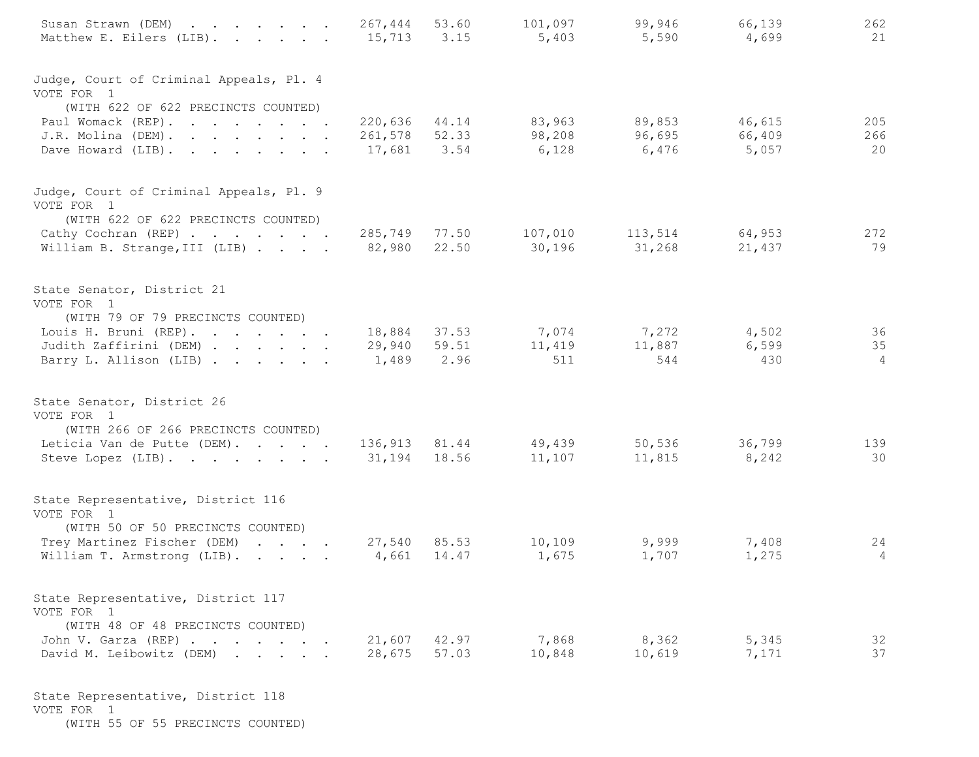| Susan Strawn (DEM)<br>Matthew E. Eilers (LIB).                                        | 267,444<br>15,713 3.15        | 53.60        | 101,097<br>5,403 | 99,946<br>5,590                       | 66,139<br>4,699 | 262<br>21      |
|---------------------------------------------------------------------------------------|-------------------------------|--------------|------------------|---------------------------------------|-----------------|----------------|
| Judge, Court of Criminal Appeals, Pl. 4<br>VOTE FOR 1                                 |                               |              |                  |                                       |                 |                |
| (WITH 622 OF 622 PRECINCTS COUNTED)                                                   |                               |              |                  |                                       |                 |                |
| Paul Womack (REP).                                                                    | 220,636 44.14                 |              | 83,963           | 89,853                                | 46,615          | 205            |
| J.R. Molina (DEM).<br>Dave Howard (LIB).                                              | 261,578 52.33<br>17,681 3.54  |              | 98,208<br>6,128  | 96,695<br>6,476                       | 66,409<br>5,057 | 266<br>20      |
| Judge, Court of Criminal Appeals, Pl. 9<br>VOTE FOR 1                                 |                               |              |                  |                                       |                 |                |
| (WITH 622 OF 622 PRECINCTS COUNTED)<br>Cathy Cochran (REP)                            | 285,749 77.50                 |              | 107,010          | 113,514                               | 64,953          | 272            |
| William B. Strange, III (LIB)                                                         | 82,980 22.50                  |              | 30,196           | 31,268                                | 21,437          | 79             |
| State Senator, District 21<br>VOTE FOR 1                                              |                               |              |                  |                                       |                 |                |
| (WITH 79 OF 79 PRECINCTS COUNTED)<br>Louis H. Bruni (REP).                            | 18,884 37.53                  |              |                  | 7,074 7,272 4,502                     |                 | 36             |
| Judith Zaffirini (DEM)                                                                |                               | 29,940 59.51 | 11,419 11,887    |                                       | 6,599           | 35             |
| Barry L. Allison (LIB)                                                                | 1,489 2.96                    |              | 511              | 544                                   | 430             | $\overline{4}$ |
| State Senator, District 26<br>VOTE FOR 1                                              |                               |              |                  |                                       |                 |                |
| (WITH 266 OF 266 PRECINCTS COUNTED)                                                   |                               |              |                  |                                       |                 |                |
| Leticia Van de Putte (DEM).<br>Steve Lopez (LIB).                                     | 136,913 81.44<br>31,194 18.56 |              |                  | 49,439 50,536 36,799<br>11,107 11,815 | 8,242           | 139<br>30      |
| State Representative, District 116<br>VOTE FOR 1                                      |                               |              |                  |                                       |                 |                |
| (WITH 50 OF 50 PRECINCTS COUNTED)                                                     |                               |              |                  |                                       |                 |                |
| Trey Martinez Fischer (DEM)                                                           |                               | 27,540 85.53 | 10,109           | 9,999                                 | 7,408           | 24             |
| William T. Armstrong (LIB).                                                           | 4,661                         | 14.47        | 1,675            | 1,707                                 | 1,275           | 4              |
| State Representative, District 117<br>VOTE FOR 1<br>(WITH 48 OF 48 PRECINCTS COUNTED) |                               |              |                  |                                       |                 |                |
| John V. Garza (REP)                                                                   |                               | 21,607 42.97 | 7,868            | 8,362                                 | 5,345           | 32             |
| David M. Leibowitz (DEM)                                                              | 28,675                        | 57.03        | 10,848           | 10,619                                | 7,171           | 37             |
| State Representative, District 118                                                    |                               |              |                  |                                       |                 |                |

VOTE FOR 1

(WITH 55 OF 55 PRECINCTS COUNTED)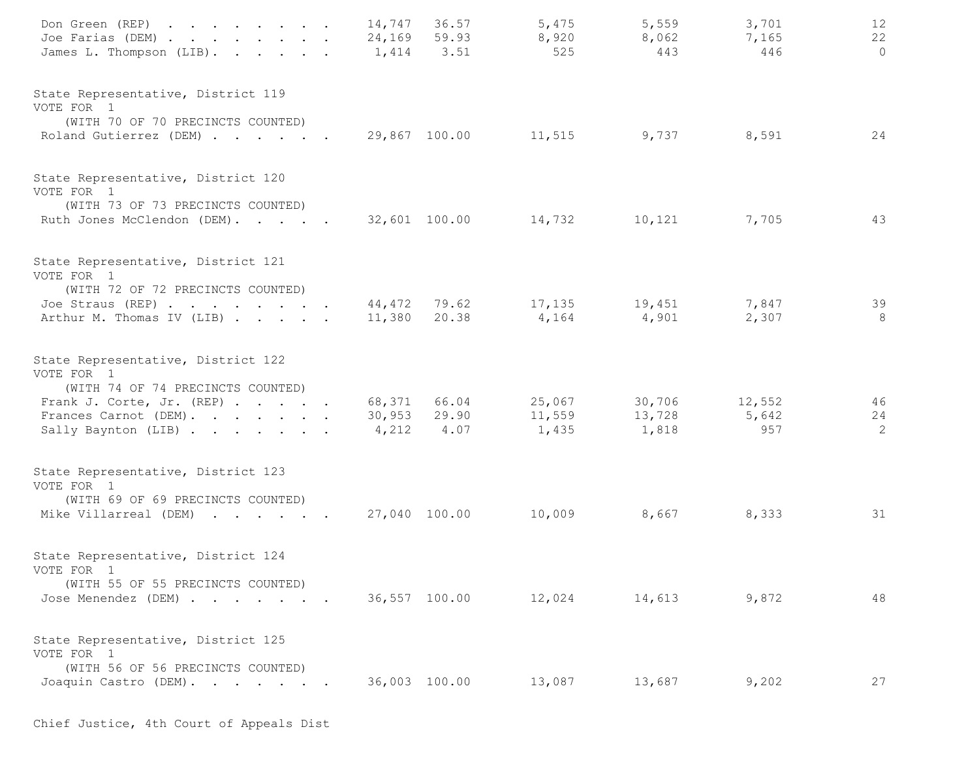| Don Green (REP)<br>Joe Farias (DEM)<br>James L. Thompson (LIB).                                                                                                    | 14,747<br>1,414 | 36.57<br>24,169 59.93<br>3.51 | 5,475<br>8,920<br>525               | 5,559<br>8,062<br>443            | 3,701<br>7,165<br>446 | 12<br>22<br>$\circ$ |
|--------------------------------------------------------------------------------------------------------------------------------------------------------------------|-----------------|-------------------------------|-------------------------------------|----------------------------------|-----------------------|---------------------|
| State Representative, District 119<br>VOTE FOR 1<br>(WITH 70 OF 70 PRECINCTS COUNTED)<br>Roland Gutierrez (DEM)                                                    |                 |                               | 29,867 100.00 11,515 9,737          |                                  | 8,591                 | 24                  |
| State Representative, District 120<br>VOTE FOR 1<br>(WITH 73 OF 73 PRECINCTS COUNTED)<br>Ruth Jones McClendon (DEM).                                               |                 | 32,601 100.00                 | 14,732                              | 10,121                           | 7,705                 | 43                  |
| State Representative, District 121<br>VOTE FOR 1<br>(WITH 72 OF 72 PRECINCTS COUNTED)<br>Joe Straus (REP)<br>Arthur M. Thomas IV (LIB)                             | 11,380          | 20.38                         | 44,472 79.62 17,135 19,451<br>4,164 | 4,901                            | 7,847<br>2,307        | 39<br>8             |
| State Representative, District 122<br>VOTE FOR 1<br>(WITH 74 OF 74 PRECINCTS COUNTED)<br>Frank J. Corte, Jr. (REP)<br>Frances Carnot (DEM).<br>Sally Baynton (LIB) | 30,953<br>4,212 | 68,371 66.04<br>29.90<br>4.07 | 25,067<br>11,559<br>1,435           | 30,706 12,552<br>13,728<br>1,818 | 5,642<br>957          | 46<br>24<br>2       |
| State Representative, District 123<br>VOTE FOR 1<br>(WITH 69 OF 69 PRECINCTS COUNTED)<br>Mike Villarreal (DEM)                                                     |                 | 27,040 100.00                 | 10,009                              | 8,667                            | 8,333                 | 31                  |
| State Representative, District 124<br>VOTE FOR 1<br>(WITH 55 OF 55 PRECINCTS COUNTED)<br>Jose Menendez (DEM)                                                       |                 |                               | 36,557 100.00 12,024                | 14,613                           | 9,872                 | 48                  |
| State Representative, District 125<br>VOTE FOR 1<br>(WITH 56 OF 56 PRECINCTS COUNTED)<br>Joaquin Castro (DEM).                                                     |                 | 36,003 100.00                 | 13,087                              | 13,687                           | 9,202                 | 27                  |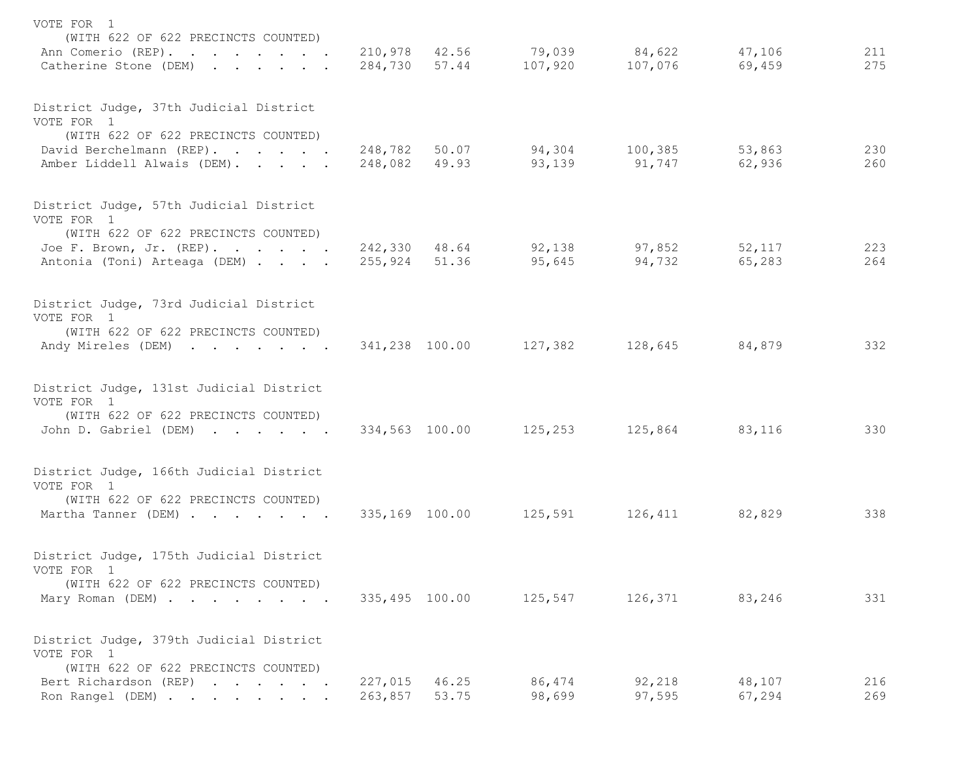| VOTE FOR 1                                                |                |               |                              |         |        |     |
|-----------------------------------------------------------|----------------|---------------|------------------------------|---------|--------|-----|
| (WITH 622 OF 622 PRECINCTS COUNTED)<br>Ann Comerio (REP). |                |               | 210,978 42.56 79,039         | 84,622  | 47,106 | 211 |
| Catherine Stone (DEM)                                     |                | 284,730 57.44 | 107,920                      | 107,076 | 69,459 | 275 |
| District Judge, 37th Judicial District<br>VOTE FOR 1      |                |               |                              |         |        |     |
| (WITH 622 OF 622 PRECINCTS COUNTED)                       |                |               |                              |         |        |     |
| David Berchelmann (REP).                                  |                |               | 248,782 50.07 94,304 100,385 |         | 53,863 | 230 |
| Amber Liddell Alwais (DEM).                               |                | 248,082 49.93 | 93,139                       | 91,747  | 62,936 | 260 |
| District Judge, 57th Judicial District                    |                |               |                              |         |        |     |
| VOTE FOR 1<br>(WITH 622 OF 622 PRECINCTS COUNTED)         |                |               |                              |         |        |     |
| Joe F. Brown, Jr. (REP).                                  |                | 242,330 48.64 | 92,138                       | 97,852  | 52,117 | 223 |
| Antonia (Toni) Arteaga (DEM)                              | 255,924 51.36  |               | 95,645                       | 94,732  | 65,283 | 264 |
| District Judge, 73rd Judicial District                    |                |               |                              |         |        |     |
| VOTE FOR 1                                                |                |               |                              |         |        |     |
| (WITH 622 OF 622 PRECINCTS COUNTED)<br>Andy Mireles (DEM) | 341,238 100.00 |               | 127,382                      | 128,645 | 84,879 | 332 |
|                                                           |                |               |                              |         |        |     |
| District Judge, 131st Judicial District<br>VOTE FOR 1     |                |               |                              |         |        |     |
| (WITH 622 OF 622 PRECINCTS COUNTED)                       |                |               |                              |         |        |     |
| John D. Gabriel (DEM)                                     | 334,563 100.00 |               | 125,253                      | 125,864 | 83,116 | 330 |
| District Judge, 166th Judicial District                   |                |               |                              |         |        |     |
| VOTE FOR 1                                                |                |               |                              |         |        |     |
| (WITH 622 OF 622 PRECINCTS COUNTED)                       |                |               |                              |         |        |     |
| Martha Tanner (DEM)                                       | 335,169 100.00 |               | 125,591                      | 126,411 | 82,829 | 338 |
| District Judge, 175th Judicial District                   |                |               |                              |         |        |     |
| VOTE FOR 1<br>(WITH 622 OF 622 PRECINCTS COUNTED)         |                |               |                              |         |        |     |
| Mary Roman (DEM)                                          | 335,495 100.00 |               | 125,547                      | 126,371 | 83,246 | 331 |
| District Judge, 379th Judicial District                   |                |               |                              |         |        |     |
| VOTE FOR 1                                                |                |               |                              |         |        |     |
| (WITH 622 OF 622 PRECINCTS COUNTED)                       |                |               |                              |         |        |     |
| Bert Richardson (REP)                                     | 227,015        | 46.25         | 86,474                       | 92,218  | 48,107 | 216 |
| Ron Rangel (DEM)                                          | 263,857        | 53.75         | 98,699                       | 97,595  | 67,294 | 269 |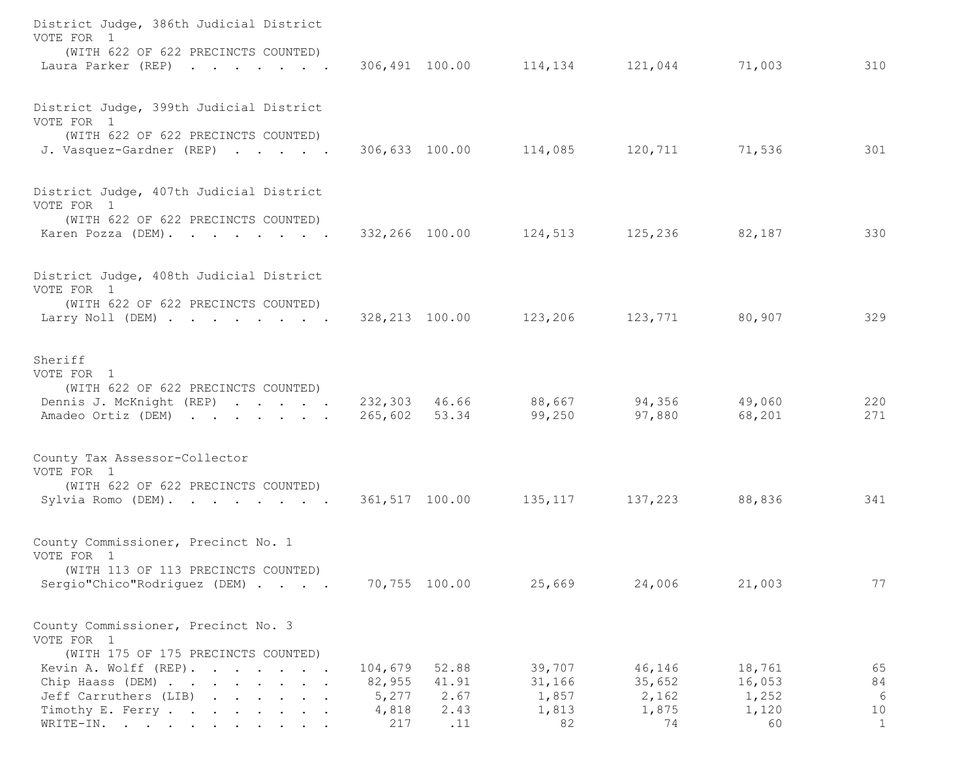| District Judge, 386th Judicial District<br>VOTE FOR 1                                               |                 |               |                                                                     |                 |                 |                    |
|-----------------------------------------------------------------------------------------------------|-----------------|---------------|---------------------------------------------------------------------|-----------------|-----------------|--------------------|
| (WITH 622 OF 622 PRECINCTS COUNTED)<br>Laura Parker (REP)                                           |                 |               | $306,491$ $100.00$ $114,134$ $121,044$ $71,003$                     |                 |                 | 310                |
| District Judge, 399th Judicial District<br>VOTE FOR 1                                               |                 |               |                                                                     |                 |                 |                    |
| (WITH 622 OF 622 PRECINCTS COUNTED)<br>J. Vasquez-Gardner (REP)                                     |                 |               | 306,633 100.00 114,085 120,711 71,536                               |                 |                 | 301                |
| District Judge, 407th Judicial District<br>VOTE FOR 1                                               |                 |               |                                                                     |                 |                 |                    |
| (WITH 622 OF 622 PRECINCTS COUNTED)<br>Karen Pozza (DEM).                                           |                 |               | 332,266 100.00 124,513 125,236                                      |                 | 82,187          | 330                |
| District Judge, 408th Judicial District<br>VOTE FOR 1                                               |                 |               |                                                                     |                 |                 |                    |
| (WITH 622 OF 622 PRECINCTS COUNTED)<br>Larry Noll (DEM)                                             |                 |               | 328,213 100.00 123,206 123,771                                      |                 | 80,907          | 329                |
| Sheriff<br>VOTE FOR 1                                                                               |                 |               |                                                                     |                 |                 |                    |
| (WITH 622 OF 622 PRECINCTS COUNTED)<br>Dennis J. McKnight (REP)<br>Amadeo Ortiz (DEM)               |                 |               | $232,303$ 46.66 88,667 94,356 49,060<br>265,602 53.34 99,250 97,880 |                 | 68,201          | 220<br>271         |
| County Tax Assessor-Collector<br>VOTE FOR 1                                                         |                 |               |                                                                     |                 |                 |                    |
| (WITH 622 OF 622 PRECINCTS COUNTED)<br>Sylvia Romo (DEM).                                           |                 |               | 361,517 100.00 135,117 137,223                                      |                 | 88,836          | 341                |
| County Commissioner, Precinct No. 1<br>VOTE FOR 1                                                   |                 |               |                                                                     |                 |                 |                    |
| (WITH 113 OF 113 PRECINCTS COUNTED)<br>Sergio"Chico"Rodriguez (DEM)                                 |                 | 70,755 100.00 | 25,669                                                              | 24,006          | 21,003          | 77                 |
| County Commissioner, Precinct No. 3<br>VOTE FOR 1                                                   |                 |               |                                                                     |                 |                 |                    |
| (WITH 175 OF 175 PRECINCTS COUNTED)<br>Kevin A. Wolff (REP).<br>and the contract of the contract of | 104,679         | 52.88         | 39,707                                                              | 46,146          | 18,761          | 65                 |
| Chip Haass (DEM)<br>Jeff Carruthers (LIB)                                                           | 82,955<br>5,277 | 41.91<br>2.67 | 31,166<br>1,857                                                     | 35,652<br>2,162 | 16,053<br>1,252 | 84<br>$6\,$        |
| Timothy E. Ferry<br>WRITE-IN.                                                                       | 4,818<br>217    | 2.43<br>.11   | 1,813<br>82                                                         | 1,875<br>74     | 1,120<br>60     | 10<br>$\mathbf{1}$ |
|                                                                                                     |                 |               |                                                                     |                 |                 |                    |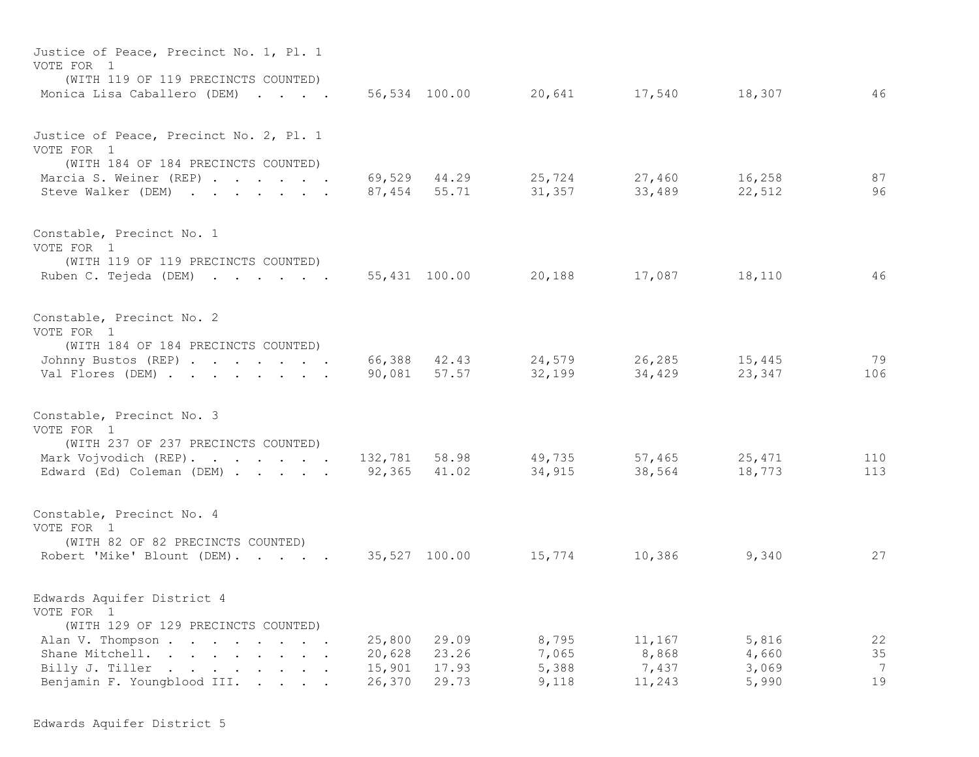| Justice of Peace, Precinct No. 1, Pl. 1<br>VOTE FOR 1<br>(WITH 119 OF 119 PRECINCTS COUNTED)                                                                             |                            |                                         |                                  |                                    |                                  |                                  |
|--------------------------------------------------------------------------------------------------------------------------------------------------------------------------|----------------------------|-----------------------------------------|----------------------------------|------------------------------------|----------------------------------|----------------------------------|
| Monica Lisa Caballero (DEM)                                                                                                                                              |                            | 56,534 100.00                           | 20,641                           | 17,540                             | 18,307                           | 46                               |
| Justice of Peace, Precinct No. 2, Pl. 1<br>VOTE FOR 1<br>(WITH 184 OF 184 PRECINCTS COUNTED)<br>Marcia S. Weiner (REP)<br>Steve Walker (DEM)                             | 87,454                     | 69,529 44.29<br>55.71                   | 25,724<br>31,357                 | 27,460<br>33,489                   | 16,258<br>22,512                 | 87<br>96                         |
| Constable, Precinct No. 1<br>VOTE FOR 1<br>(WITH 119 OF 119 PRECINCTS COUNTED)<br>Ruben C. Tejeda (DEM)                                                                  |                            | 55,431 100.00                           | 20,188                           | 17,087                             | 18,110                           | 46                               |
| Constable, Precinct No. 2<br>VOTE FOR 1<br>(WITH 184 OF 184 PRECINCTS COUNTED)<br>Johnny Bustos (REP)<br>Val Flores (DEM)                                                | 90,081                     | 66,388 42.43<br>57.57                   | 24,579<br>32,199                 | 26,285<br>34,429                   | 15,445<br>23,347                 | 79<br>106                        |
| Constable, Precinct No. 3<br>VOTE FOR 1<br>(WITH 237 OF 237 PRECINCTS COUNTED)<br>Mark Vojvodich (REP).<br>Edward (Ed) Coleman (DEM)                                     | 92,365 41.02               | 132,781 58.98                           | 49,735<br>34,915                 | 57,465<br>38,564                   | 25,471<br>18,773                 | 110<br>113                       |
| Constable, Precinct No. 4<br>VOTE FOR 1<br>(WITH 82 OF 82 PRECINCTS COUNTED)<br>Robert 'Mike' Blount (DEM).                                                              | 35,527 100.00              |                                         | 15,774                           | 10,386                             | 9,340                            | 27                               |
| Edwards Aquifer District 4<br>VOTE FOR 1<br>(WITH 129 OF 129 PRECINCTS COUNTED)<br>Alan V. Thompson<br>Shane Mitchell.<br>Billy J. Tiller<br>Benjamin F. Youngblood III. | 20,628<br>15,901<br>26,370 | 25,800 29.09<br>23.26<br>17.93<br>29.73 | 8,795<br>7,065<br>5,388<br>9,118 | 11,167<br>8,868<br>7,437<br>11,243 | 5,816<br>4,660<br>3,069<br>5,990 | 22<br>35<br>$\overline{7}$<br>19 |

Edwards Aquifer District 5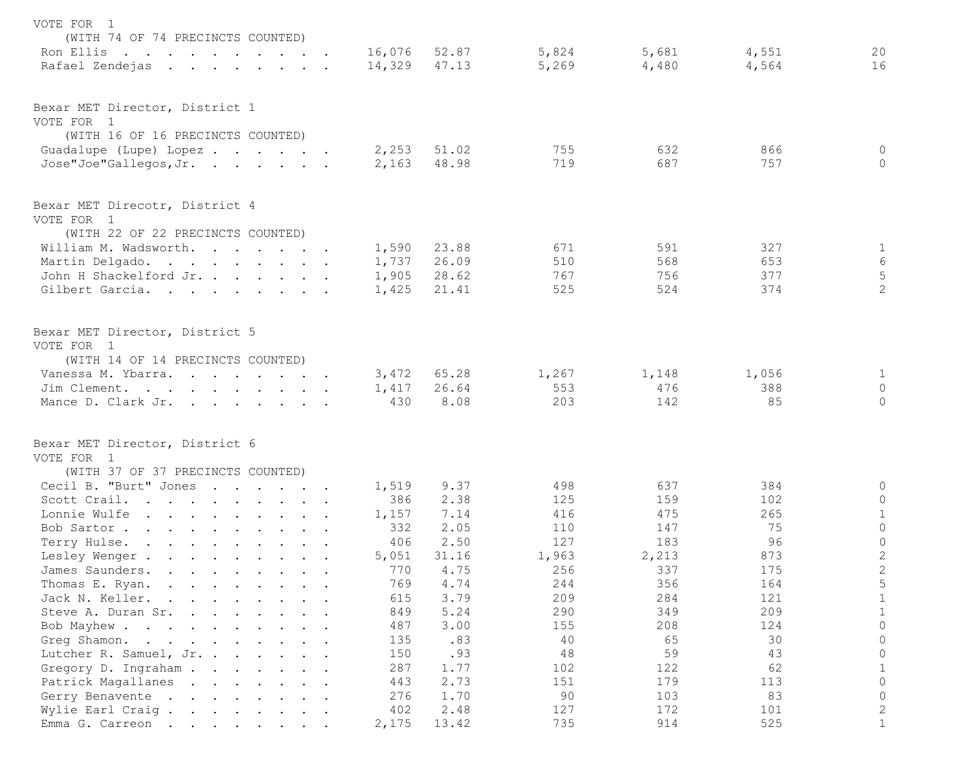| VOTE FOR 1<br>(WITH 74 OF 74 PRECINCTS COUNTED)                                                                                                 |                              |              |                |                |                |                        |
|-------------------------------------------------------------------------------------------------------------------------------------------------|------------------------------|--------------|----------------|----------------|----------------|------------------------|
| Ron Ellis<br>Rafael Zendejas<br>the contract of the contract of the contract of the contract of the contract of the contract of the contract of | 16,076 52.87<br>14,329 47.13 |              | 5,824<br>5,269 | 5,681<br>4,480 | 4,551<br>4,564 | 20<br>16               |
| Bexar MET Director, District 1                                                                                                                  |                              |              |                |                |                |                        |
| VOTE FOR 1                                                                                                                                      |                              |              |                |                |                |                        |
| (WITH 16 OF 16 PRECINCTS COUNTED)                                                                                                               |                              |              |                |                |                |                        |
| Guadalupe (Lupe) Lopez                                                                                                                          | 2,253                        | 51.02        | 755            | 632<br>687     | 866<br>757     | $\circ$                |
| Jose"Joe"Gallegos, Jr.                                                                                                                          | 2,163                        | 48.98        | 719            |                |                | $\circ$                |
| Bexar MET Direcotr, District 4                                                                                                                  |                              |              |                |                |                |                        |
| VOTE FOR 1                                                                                                                                      |                              |              |                |                |                |                        |
| (WITH 22 OF 22 PRECINCTS COUNTED)                                                                                                               |                              |              |                |                |                |                        |
| William M. Wadsworth.                                                                                                                           | 1,590                        | 23.88        | 671            | 591            | 327            | $\mathbf{1}$           |
| Martin Delgado.                                                                                                                                 | 1,737                        | 26.09        | 510            | 568            | 653            | 6                      |
| John H Shackelford Jr.                                                                                                                          | 1,905                        | 28.62        | 767            | 756            | 377            | 5                      |
| Gilbert Garcia.                                                                                                                                 | 1,425                        | 21.41        | 525            | 524            | 374            | 2                      |
| Bexar MET Director, District 5                                                                                                                  |                              |              |                |                |                |                        |
| VOTE FOR 1                                                                                                                                      |                              |              |                |                |                |                        |
| (WITH 14 OF 14 PRECINCTS COUNTED)                                                                                                               |                              |              |                |                |                |                        |
| Vanessa M. Ybarra.                                                                                                                              | 3,472                        | 65.28        | 1,267          | 1,148          | 1,056          | $\mathbf{1}$           |
| Jim Clement.                                                                                                                                    | 1,417                        | 26.64        | 553            | 476            | 388            | $\circ$                |
| Mance D. Clark Jr.                                                                                                                              | 430                          | 8.08         | 203            | 142            | 85             | $\circ$                |
| Bexar MET Director, District 6                                                                                                                  |                              |              |                |                |                |                        |
| VOTE FOR 1                                                                                                                                      |                              |              |                |                |                |                        |
| (WITH 37 OF 37 PRECINCTS COUNTED)                                                                                                               |                              |              |                |                |                |                        |
| Cecil B. "Burt" Jones                                                                                                                           | 1,519                        | 9.37         | 498            | 637            | 384            | $\circ$                |
| Scott Crail.                                                                                                                                    | 386                          | 2.38         | 125            | 159            | 102            | $\mathbb O$            |
| Lonnie Wulfe                                                                                                                                    | 1,157                        | 7.14         | 416            | 475            | 265            | $\mathbf{1}$           |
| Bob Sartor                                                                                                                                      | 332<br>406                   | 2.05<br>2.50 | 110<br>127     | 147<br>183     | 75<br>96       | $\circ$<br>$\mathbb O$ |
| Terry Hulse.                                                                                                                                    |                              | 31.16        |                | 2,213          | 873            | $\sqrt{2}$             |
| Lesley Wenger                                                                                                                                   | 5,051                        | 4.75         | 1,963<br>256   | 337            | 175            | $\mathbf{2}$           |
| James Saunders.                                                                                                                                 | 770<br>769                   | 4.74         | 244            | 356            | 164            | 5                      |
| Thomas E. Ryan.<br>Jack N. Keller.                                                                                                              | 615                          | 3.79         | 209            | 284            | 121            | $\mathbf{1}$           |
| Steve A. Duran Sr.                                                                                                                              | 849                          | 5.24         | 290            | 349            | 209            | 1                      |
| Bob Mayhew                                                                                                                                      | 487                          | 3.00         | 155            | 208            | 124            | $\Omega$               |
| Greq Shamon.                                                                                                                                    | 135                          | .83          | 40             | 65             | 30             | $\Omega$               |
| Lutcher R. Samuel, Jr.                                                                                                                          | 150                          | .93          | 48             | 59             | 43             | $\Omega$               |
| Gregory D. Ingraham                                                                                                                             | 287                          | 1.77         | 102            | 122            | 62             | 1                      |
| Patrick Magallanes                                                                                                                              | 443                          | 2.73         | 151            | 179            | 113            | $\Omega$               |
| Gerry Benavente                                                                                                                                 | 276                          | 1.70         | 90             | 103            | 83             | $\circ$                |
| Wylie Earl Craig.                                                                                                                               | 402                          | 2.48         | 127            | 172            | 101            | 2                      |
| Emma G. Carreon                                                                                                                                 | 2,175                        | 13.42        | 735            | 914            | 525            | $\mathbf{1}$           |
|                                                                                                                                                 |                              |              |                |                |                |                        |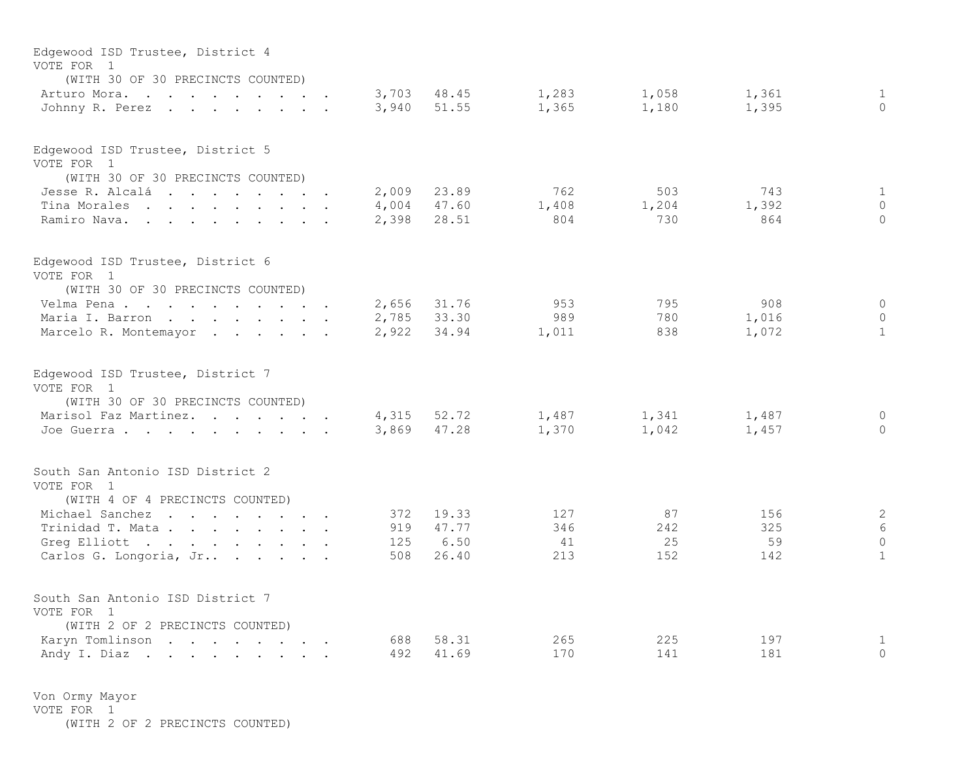| Edgewood ISD Trustee, District 4<br>VOTE FOR 1<br>(WITH 30 OF 30 PRECINCTS COUNTED) |                |                |                |                |                |                          |
|-------------------------------------------------------------------------------------|----------------|----------------|----------------|----------------|----------------|--------------------------|
| Arturo Mora.<br>Johnny R. Perez                                                     | 3,703<br>3,940 | 48.45<br>51.55 | 1,283<br>1,365 | 1,058<br>1,180 | 1,361<br>1,395 | $\mathbf{1}$<br>$\Omega$ |
| Edgewood ISD Trustee, District 5                                                    |                |                |                |                |                |                          |
| VOTE FOR 1<br>(WITH 30 OF 30 PRECINCTS COUNTED)                                     |                |                |                |                |                |                          |
| Jesse R. Alcalá                                                                     | 2,009          | 23.89          | 762            | 503            | 743            | $\mathbf{1}$             |
| Tina Morales                                                                        | 4,004          | 47.60          | 1,408          | 1,204          | 1,392          | $\mathbf{0}$             |
| Ramiro Nava.                                                                        | 2,398          | 28.51          | 804            | 730            | 864            | $\Omega$                 |
| Edgewood ISD Trustee, District 6                                                    |                |                |                |                |                |                          |
| VOTE FOR 1<br>(WITH 30 OF 30 PRECINCTS COUNTED)                                     |                |                |                |                |                |                          |
| Velma Pena                                                                          | 2,656          | 31.76          | 953            | 795            | 908            | $\mathbf{0}$             |
| Maria I. Barron                                                                     | 2,785          | 33.30          | 989            | 780            | 1,016          | $\mathbf{0}$             |
| Marcelo R. Montemayor                                                               | 2,922          | 34.94          | 1,011          | 838            | 1,072          | $\mathbf{1}$             |
| Edgewood ISD Trustee, District 7<br>VOTE FOR 1<br>(WITH 30 OF 30 PRECINCTS COUNTED) |                |                |                |                |                |                          |
| Marisol Faz Martinez.                                                               | 4,315          | 52.72          | 1,487          | 1,341          | 1,487          | $\Omega$                 |
| Joe Guerra                                                                          | 3,869          | 47.28          | 1,370          | 1,042          | 1,457          | $\Omega$                 |
| South San Antonio ISD District 2<br>VOTE FOR 1                                      |                |                |                |                |                |                          |
| (WITH 4 OF 4 PRECINCTS COUNTED)                                                     |                |                |                |                |                |                          |
| Michael Sanchez                                                                     | 372            | 19.33          | 127            | 87             | 156            | $\sqrt{2}$               |
| Trinidad T. Mata                                                                    | 919<br>125     | 47.77<br>6.50  | 346<br>41      | 242<br>25      | 325<br>59      | 6<br>$\Omega$            |
| Greg Elliott<br>Carlos G. Longoria, Jr                                              | 508            | 26.40          | 213            | 152            | 142            | $\mathbf{1}$             |
| South San Antonio ISD District 7<br>VOTE FOR 1<br>(WITH 2 OF 2 PRECINCTS COUNTED)   |                |                |                |                |                |                          |
| Karyn Tomlinson                                                                     | 688            | 58.31          | 265            | 225            | 197            | 1                        |
| Andy I. Diaz                                                                        | 492            | 41.69          | 170            | 141            | 181            | $\mathbf{0}$             |

Von Ormy Mayor VOTE FOR 1 (WITH 2 OF 2 PRECINCTS COUNTED)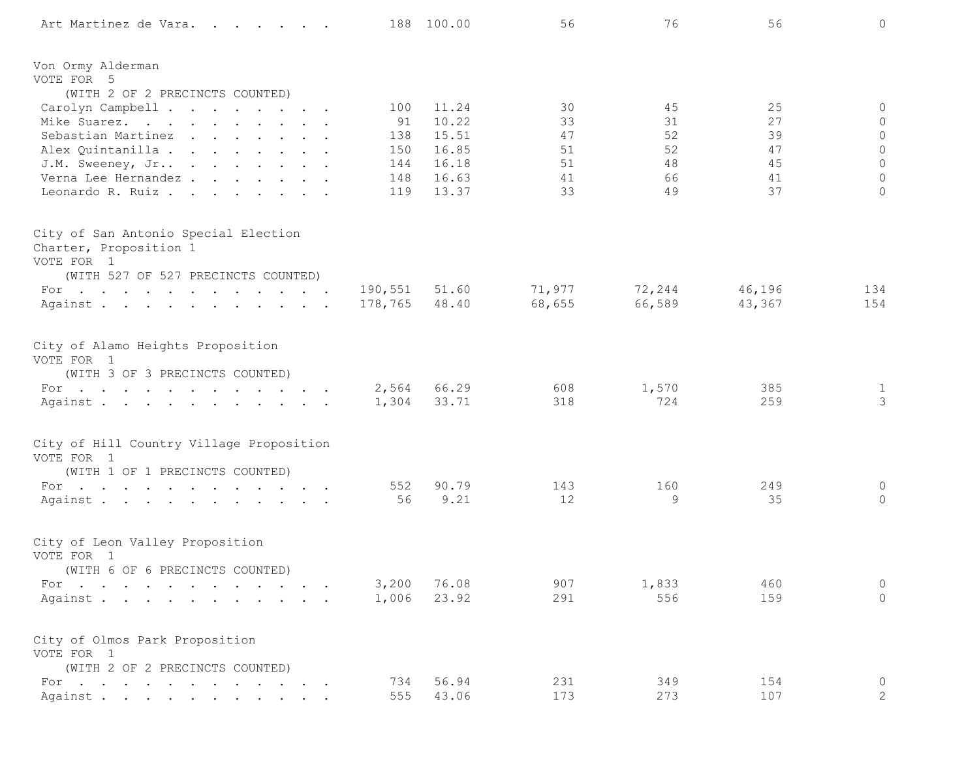| Art Martinez de Vara.                                  |            | 188 100.00     | 56       | 76       | 56       | $\circ$                        |
|--------------------------------------------------------|------------|----------------|----------|----------|----------|--------------------------------|
| Von Ormy Alderman                                      |            |                |          |          |          |                                |
| VOTE FOR 5                                             |            |                |          |          |          |                                |
| (WITH 2 OF 2 PRECINCTS COUNTED)                        |            |                |          |          |          |                                |
| Carolyn Campbell                                       | 100        | 11.24          | 30       | 45       | 25       | 0                              |
| Mike Suarez.                                           | 91         | 10.22          | 33       | 31       | 27       | 0                              |
| Sebastian Martinez                                     | 138        | 15.51          | 47       | 52       | 39       | $\mathbb O$                    |
| Alex Quintanilla                                       | 150        | 16.85          | 51<br>51 | 52<br>48 | 47<br>45 | $\circ$<br>$\circ$             |
| J.M. Sweeney, Jr<br>Verna Lee Hernandez                | 144<br>148 | 16.18<br>16.63 | 41       | 66       | 41       | $\circ$                        |
| Leonardo R. Ruiz.                                      | 119        | 13.37          | 33       | 49       | 37       | $\circ$                        |
| City of San Antonio Special Election                   |            |                |          |          |          |                                |
| Charter, Proposition 1<br>VOTE FOR 1                   |            |                |          |          |          |                                |
| (WITH 527 OF 527 PRECINCTS COUNTED)                    |            |                |          |          |          |                                |
| For $\cdots$                                           | 190,551    | 51.60          | 71,977   | 72,244   | 46,196   | 134                            |
| Against                                                | 178,765    | 48.40          | 68,655   | 66,589   | 43,367   | 154                            |
| City of Alamo Heights Proposition                      |            |                |          |          |          |                                |
| VOTE FOR 1                                             |            |                |          |          |          |                                |
| (WITH 3 OF 3 PRECINCTS COUNTED)                        |            | 2,564 66.29    | 608      | 1,570    | 385      |                                |
| For $\cdots$<br>Against                                | 1,304      | 33.71          | 318      | 724      | 259      | $\mathbf{1}$<br>$\mathfrak{Z}$ |
|                                                        |            |                |          |          |          |                                |
| City of Hill Country Village Proposition<br>VOTE FOR 1 |            |                |          |          |          |                                |
| (WITH 1 OF 1 PRECINCTS COUNTED)                        |            |                |          |          |          |                                |
| For $\cdots$                                           | 552        | 90.79          | 143      | 160      | 249      | 0                              |
| Against.                                               | 56         | 9.21           | 12       | 9        | 35       | $\circ$                        |
|                                                        |            |                |          |          |          |                                |
| City of Leon Valley Proposition                        |            |                |          |          |          |                                |
| VOTE FOR 1                                             |            |                |          |          |          |                                |
| (WITH 6 OF 6 PRECINCTS COUNTED)<br>For                 | 3,200      | 76.08          | 907      | 1,833    | 460      | $\mathbb O$                    |
| Against.                                               | 1,006      | 23.92          | 291      | 556      | 159      | $\circ$                        |
|                                                        |            |                |          |          |          |                                |
| City of Olmos Park Proposition<br>VOTE FOR 1           |            |                |          |          |          |                                |
| (WITH 2 OF 2 PRECINCTS COUNTED)                        |            |                |          |          |          |                                |
| For $\cdots$ $\cdots$ $\cdots$ $\cdots$ $\cdots$       | 734        | 56.94          | 231      | 349      | 154      | $\mathbb O$                    |
| Against .                                              | 555        | 43.06          | 173      | 273      | 107      | $\overline{2}$                 |